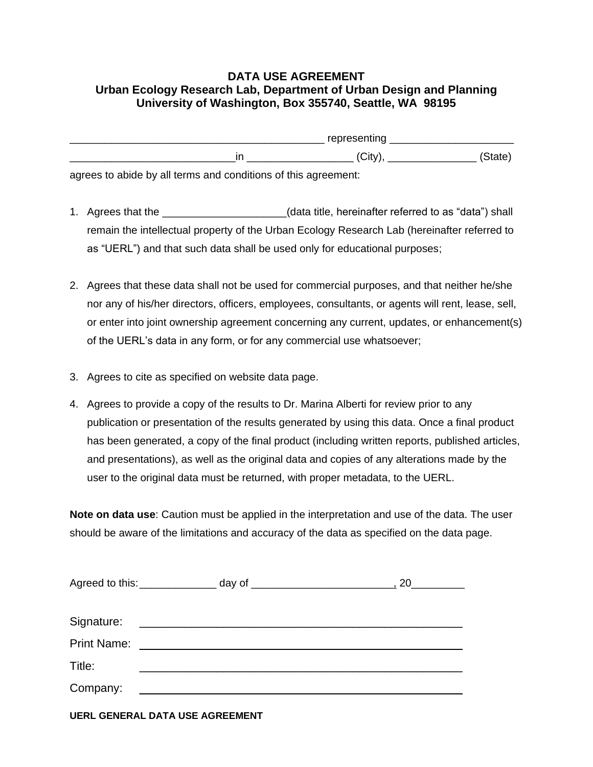## **DATA USE AGREEMENT Urban Ecology Research Lab, Department of Urban Design and Planning University of Washington, Box 355740, Seattle, WA 98195**

| representing |        |
|--------------|--------|
| √Cit         | state) |

agrees to abide by all terms and conditions of this agreement:

- 1. Agrees that the \_\_\_\_\_\_\_\_\_\_\_\_\_\_\_\_\_\_\_\_\_(data title, hereinafter referred to as "data") shall remain the intellectual property of the Urban Ecology Research Lab (hereinafter referred to as "UERL") and that such data shall be used only for educational purposes;
- 2. Agrees that these data shall not be used for commercial purposes, and that neither he/she nor any of his/her directors, officers, employees, consultants, or agents will rent, lease, sell, or enter into joint ownership agreement concerning any current, updates, or enhancement(s) of the UERL's data in any form, or for any commercial use whatsoever;
- 3. Agrees to cite as specified on website data page.
- 4. Agrees to provide a copy of the results to Dr. Marina Alberti for review prior to any publication or presentation of the results generated by using this data. Once a final product has been generated, a copy of the final product (including written reports, published articles, and presentations), as well as the original data and copies of any alterations made by the user to the original data must be returned, with proper metadata, to the UERL.

**Note on data use**: Caution must be applied in the interpretation and use of the data. The user should be aware of the limitations and accuracy of the data as specified on the data page.

| Agreed to this:<br><u>Letter and the set of the set of the set of the set of the set of the set of the set of the set of the set of the set of the set of the set of the set of the set of the set of the set of the set of the se</u> |                                                                                                                                                                                                                                      |  |
|----------------------------------------------------------------------------------------------------------------------------------------------------------------------------------------------------------------------------------------|--------------------------------------------------------------------------------------------------------------------------------------------------------------------------------------------------------------------------------------|--|
|                                                                                                                                                                                                                                        |                                                                                                                                                                                                                                      |  |
| Signature:                                                                                                                                                                                                                             | <u> 1989 - Johann Harry Harry Harry Harry Harry Harry Harry Harry Harry Harry Harry Harry Harry Harry Harry Harry Harry Harry Harry Harry Harry Harry Harry Harry Harry Harry Harry Harry Harry Harry Harry Harry Harry Harry Ha</u> |  |
| <b>Print Name:</b>                                                                                                                                                                                                                     |                                                                                                                                                                                                                                      |  |
| Title:                                                                                                                                                                                                                                 |                                                                                                                                                                                                                                      |  |
| Company:                                                                                                                                                                                                                               |                                                                                                                                                                                                                                      |  |

**UERL GENERAL DATA USE AGREEMENT**